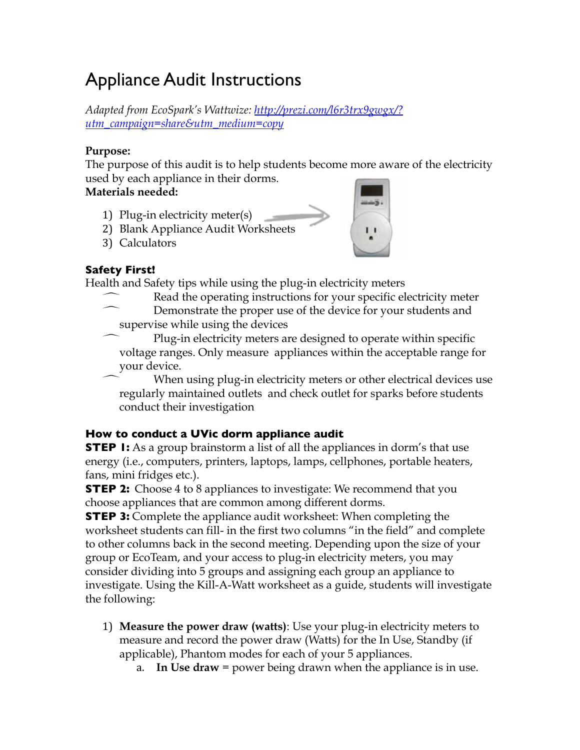# Appliance Audit Instructions

*Adapted from EcoSpark's Wattwize: [http://prezi.com/l6r3trx9gwgx/?](http://prezi.com/l6r3trx9gwgx/?utm_campaign=share&utm_medium=copy) [utm\\_campaign=share&utm\\_medium=copy](http://prezi.com/l6r3trx9gwgx/?utm_campaign=share&utm_medium=copy)*

#### **Purpose:**

The purpose of this audit is to help students become more aware of the electricity used by each appliance in their dorms.

#### **Materials needed:**

- 1) Plug-in electricity meter(s)
- 2) Blank Appliance Audit Worksheets
- 3) Calculators



#### **Safety First!**

Health and Safety tips while using the plug-in electricity meters

- Read the operating instructions for your specific electricity meter
- Demonstrate the proper use of the device for your students and supervise while using the devices

 Plug-in electricity meters are designed to operate within specific voltage ranges. Only measure appliances within the acceptable range for your device.

 When using plug-in electricity meters or other electrical devices use regularly maintained outlets and check outlet for sparks before students conduct their investigation

#### **How to conduct a UVic dorm appliance audit**

**STEP 1:** As a group brainstorm a list of all the appliances in dorm's that use energy (i.e., computers, printers, laptops, lamps, cellphones, portable heaters, fans, mini fridges etc.).

**STEP 2:** Choose 4 to 8 appliances to investigate: We recommend that you choose appliances that are common among different dorms.

**STEP 3:** Complete the appliance audit worksheet: When completing the worksheet students can fill- in the first two columns "in the field" and complete to other columns back in the second meeting. Depending upon the size of your group or EcoTeam, and your access to plug-in electricity meters, you may consider dividing into 5 groups and assigning each group an appliance to investigate. Using the Kill-A-Watt worksheet as a guide, students will investigate the following:

- 1) **Measure the power draw (watts)**: Use your plug-in electricity meters to measure and record the power draw (Watts) for the In Use, Standby (if applicable), Phantom modes for each of your 5 appliances.
	- a. **In Use draw** = power being drawn when the appliance is in use.